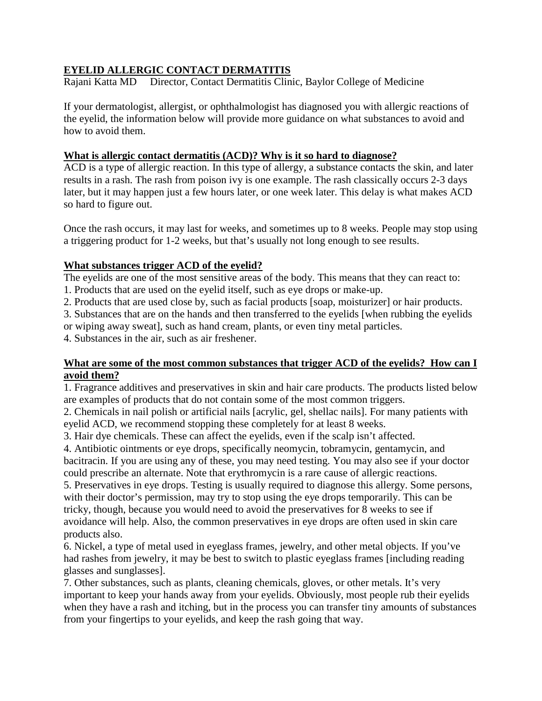# **EYELID ALLERGIC CONTACT DERMATITIS**

Rajani Katta MD Director, Contact Dermatitis Clinic, Baylor College of Medicine

If your dermatologist, allergist, or ophthalmologist has diagnosed you with allergic reactions of the eyelid, the information below will provide more guidance on what substances to avoid and how to avoid them.

### **What is allergic contact dermatitis (ACD)? Why is it so hard to diagnose?**

ACD is a type of allergic reaction. In this type of allergy, a substance contacts the skin, and later results in a rash. The rash from poison ivy is one example. The rash classically occurs 2-3 days later, but it may happen just a few hours later, or one week later. This delay is what makes ACD so hard to figure out.

Once the rash occurs, it may last for weeks, and sometimes up to 8 weeks. People may stop using a triggering product for 1-2 weeks, but that's usually not long enough to see results.

## **What substances trigger ACD of the eyelid?**

The eyelids are one of the most sensitive areas of the body. This means that they can react to:

1. Products that are used on the eyelid itself, such as eye drops or make-up.

2. Products that are used close by, such as facial products [soap, moisturizer] or hair products.

3. Substances that are on the hands and then transferred to the eyelids [when rubbing the eyelids

or wiping away sweat], such as hand cream, plants, or even tiny metal particles.

4. Substances in the air, such as air freshener.

#### **What are some of the most common substances that trigger ACD of the eyelids? How can I avoid them?**

1. Fragrance additives and preservatives in skin and hair care products. The products listed below are examples of products that do not contain some of the most common triggers.

2. Chemicals in nail polish or artificial nails [acrylic, gel, shellac nails]. For many patients with eyelid ACD, we recommend stopping these completely for at least 8 weeks.

3. Hair dye chemicals. These can affect the eyelids, even if the scalp isn't affected.

4. Antibiotic ointments or eye drops, specifically neomycin, tobramycin, gentamycin, and bacitracin. If you are using any of these, you may need testing. You may also see if your doctor could prescribe an alternate. Note that erythromycin is a rare cause of allergic reactions.

5. Preservatives in eye drops. Testing is usually required to diagnose this allergy. Some persons, with their doctor's permission, may try to stop using the eye drops temporarily. This can be tricky, though, because you would need to avoid the preservatives for 8 weeks to see if avoidance will help. Also, the common preservatives in eye drops are often used in skin care products also.

6. Nickel, a type of metal used in eyeglass frames, jewelry, and other metal objects. If you've had rashes from jewelry, it may be best to switch to plastic eyeglass frames [including reading glasses and sunglasses].

7. Other substances, such as plants, cleaning chemicals, gloves, or other metals. It's very important to keep your hands away from your eyelids. Obviously, most people rub their eyelids when they have a rash and itching, but in the process you can transfer tiny amounts of substances from your fingertips to your eyelids, and keep the rash going that way.